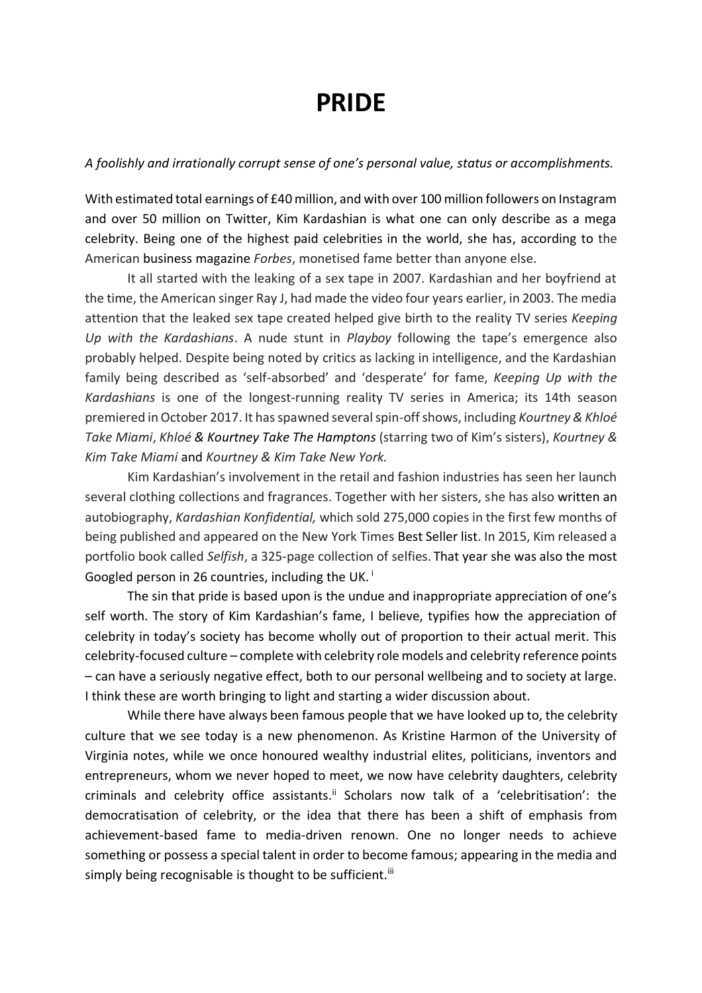## **PRIDE**

## *A foolishly and irrationally corrupt sense of one's personal value, status or accomplishments.*

With estimated total earnings of £40 million, and with over 100 million followers on Instagram and over 50 million on Twitter, Kim Kardashian is what one can only describe as a mega celebrity. Being one of the highest paid celebrities in the world, she has, according to the American business magazine *Forbes*, monetised fame better than anyone else.

It all started with the leaking of a sex tape in 2007. Kardashian and her boyfriend at the time, the American singer Ray J, had made the video four years earlier, in 2003. The media attention that the leaked sex tape created helped give birth to the reality TV series *Keeping Up with the Kardashians*. A nude stunt in *Playboy* following the tape's emergence also probably helped. Despite being noted by critics as lacking in intelligence, and the Kardashian family being described as 'self-absorbed' and 'desperate' for fame, *Keeping Up with the Kardashians* is one of the longest-running reality TV series in America; its 14th season premiered in October 2017. It has spawned several spin-off shows, including *Kourtney & Khloé Take Miami*, *Khloé & Kourtney Take The Hamptons* (starring two of Kim's sisters), *Kourtney & Kim Take Miami* and *Kourtney & Kim Take New York.*

Kim Kardashian's involvement in the retail and fashion industries has seen her launch several clothing collections and fragrances. Together with her sisters, she has also written an autobiography, *Kardashian Konfidential,* which sold 275,000 copies in the first few months of being published and appeared on the New York Times Best Seller list. In 2015, Kim released a portfolio book called *Selfish*, a 325-page collection of selfies. That year she was also the most Googled person in 26 countries, including the UK. <sup>i</sup>

The sin that pride is based upon is the undue and inappropriate appreciation of one's self worth. The story of Kim Kardashian's fame, I believe, typifies how the appreciation of celebrity in today's society has become wholly out of proportion to their actual merit. This celebrity-focused culture – complete with celebrity role models and celebrity reference points – can have a seriously negative effect, both to our personal wellbeing and to society at large. I think these are worth bringing to light and starting a wider discussion about.

While there have always been famous people that we have looked up to, the celebrity culture that we see today is a new phenomenon. As Kristine Harmon of the University of Virginia notes, while we once honoured wealthy industrial elites, politicians, inventors and entrepreneurs, whom we never hoped to meet, we now have celebrity daughters, celebrity criminals and celebrity office assistants.<sup>ii</sup> Scholars now talk of a 'celebritisation': the democratisation of celebrity, or the idea that there has been a shift of emphasis from achievement-based fame to media-driven renown. One no longer needs to achieve something or possess a special talent in order to become famous; appearing in the media and simply being recognisable is thought to be sufficient.<sup>iii</sup>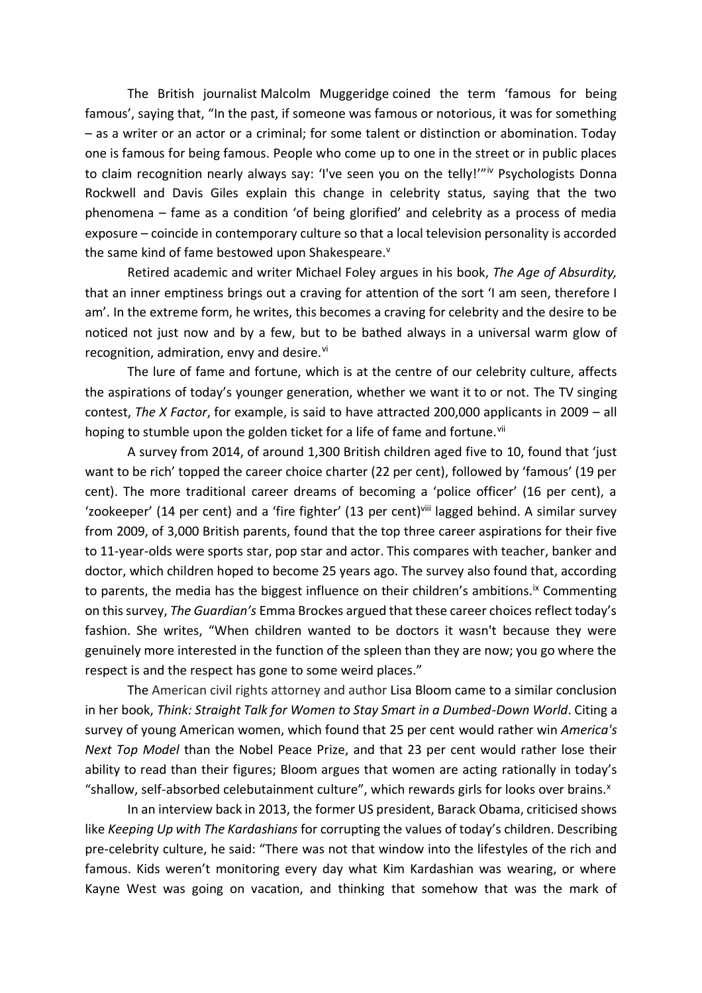The British journalist Malcolm Muggeridge coined the term 'famous for being famous', saying that, "In the past, if someone was famous or notorious, it was for something – as a writer or an actor or a criminal; for some talent or distinction or abomination. Today one is famous for being famous. People who come up to one in the street or in public places to claim recognition nearly always say: 'I've seen you on the telly!'"iv Psychologists Donna Rockwell and Davis Giles explain this change in celebrity status, saying that the two phenomena – fame as a condition 'of being glorified' and celebrity as a process of media exposure – coincide in contemporary culture so that a local television personality is accorded the same kind of fame bestowed upon Shakespeare.<sup>v</sup>

Retired academic and writer Michael Foley argues in his book, *The Age of Absurdity,* that an inner emptiness brings out a craving for attention of the sort 'I am seen, therefore I am'. In the extreme form, he writes, this becomes a craving for celebrity and the desire to be noticed not just now and by a few, but to be bathed always in a universal warm glow of recognition, admiration, envy and desire.vi

The lure of fame and fortune, which is at the centre of our celebrity culture, affects the aspirations of today's younger generation, whether we want it to or not. The TV singing contest, *The X Factor*, for example, is said to have attracted 200,000 applicants in 2009 – all hoping to stumble upon the golden ticket for a life of fame and fortune.<sup>vii</sup>

A survey from 2014, of around 1,300 British children aged five to 10, found that 'just want to be rich' topped the career choice charter (22 per cent), followed by 'famous' (19 per cent). The more traditional career dreams of becoming a 'police officer' (16 per cent), a 'zookeeper' (14 per cent) and a 'fire fighter' (13 per cent)<sup>viii</sup> lagged behind. A similar survey from 2009, of 3,000 British parents, found that the top three career aspirations for their five to 11-year-olds were sports star, pop star and actor. This compares with teacher, banker and doctor, which children hoped to become 25 years ago. The survey also found that, according to parents, the media has the biggest influence on their children's ambitions.<sup>ix</sup> Commenting on this survey, *The Guardian's* Emma Brockes argued that these career choices reflect today's fashion. She writes, "When children wanted to be doctors it wasn't because they were genuinely more interested in the function of the spleen than they are now; you go where the respect is and the respect has gone to some weird places."

The American civil rights attorney and author Lisa Bloom came to a similar conclusion in her book, *Think: Straight Talk for Women to Stay Smart in a Dumbed-Down World*. Citing a survey of young American women, which found that 25 per cent would rather win *America's Next Top Model* than the Nobel Peace Prize, and that 23 per cent would rather lose their ability to read than their figures; Bloom argues that women are acting rationally in today's "shallow, self-absorbed celebutainment culture", which rewards girls for looks over brains. $x$ 

In an interview back in 2013, the former US president, Barack Obama, criticised shows like *Keeping Up with The Kardashians* for corrupting the values of today's children. Describing pre-celebrity culture, he said: "There was not that window into the lifestyles of the rich and famous. Kids weren't monitoring every day what Kim Kardashian was wearing, or where Kayne West was going on vacation, and thinking that somehow that was the mark of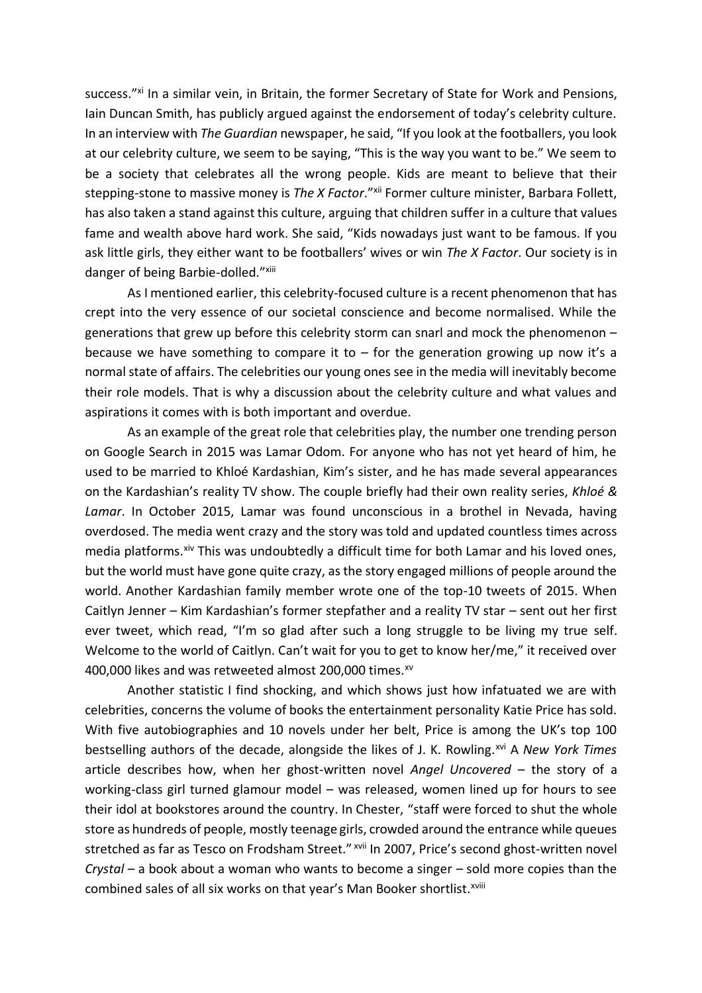success."<sup>xi</sup> In a similar vein, in Britain, the former Secretary of State for Work and Pensions, Iain Duncan Smith, has publicly argued against the endorsement of today's celebrity culture. In an interview with *The Guardian* newspaper, he said, "If you look at the footballers, you look at our celebrity culture, we seem to be saying, "This is the way you want to be." We seem to be a society that celebrates all the wrong people. Kids are meant to believe that their stepping-stone to massive money is *The X Factor*."<sup>xii</sup> Former culture minister, Barbara Follett, has also taken a stand against this culture, arguing that children suffer in a culture that values fame and wealth above hard work. She said, "Kids nowadays just want to be famous. If you ask little girls, they either want to be footballers' wives or win *The X Factor*. Our society is in danger of being Barbie-dolled."xiii

As I mentioned earlier, this celebrity-focused culture is a recent phenomenon that has crept into the very essence of our societal conscience and become normalised. While the generations that grew up before this celebrity storm can snarl and mock the phenomenon – because we have something to compare it to  $-$  for the generation growing up now it's a normal state of affairs. The celebrities our young ones see in the media will inevitably become their role models. That is why a discussion about the celebrity culture and what values and aspirations it comes with is both important and overdue.

As an example of the great role that celebrities play, the number one trending person on Google Search in 2015 was Lamar Odom. For anyone who has not yet heard of him, he used to be married to Khloé Kardashian, Kim's sister, and he has made several appearances on the Kardashian's reality TV show. The couple briefly had their own reality series, *Khloé & Lamar*. In October 2015, Lamar was found unconscious in a brothel in Nevada, having overdosed. The media went crazy and the story was told and updated countless times across media platforms.<sup>xiv</sup> This was undoubtedly a difficult time for both Lamar and his loved ones, but the world must have gone quite crazy, as the story engaged millions of people around the world. Another Kardashian family member wrote one of the top-10 tweets of 2015. When Caitlyn Jenner – Kim Kardashian's former stepfather and a reality TV star – sent out her first ever tweet, which read, "I'm so glad after such a long struggle to be living my true self. Welcome to the world of Caitlyn. Can't wait for you to get to know her/me," it received over 400,000 likes and was retweeted almost 200,000 times.<sup>xv</sup>

Another statistic I find shocking, and which shows just how infatuated we are with celebrities, concerns the volume of books the entertainment personality Katie Price has sold. With five autobiographies and 10 novels under her belt, Price is among the UK's top 100 bestselling authors of the decade, alongside the likes of J. K. Rowling.<sup>xvi</sup> A *New York Times* article describes how, when her ghost-written novel *Angel Uncovered* – the story of a working-class girl turned glamour model – was released, women lined up for hours to see their idol at bookstores around the country. In Chester, "staff were forced to shut the whole store as hundreds of people, mostly teenage girls, crowded around the entrance while queues stretched as far as Tesco on Frodsham Street." <sup>xvii</sup> In 2007, Price's second ghost-written novel *Crystal* – a book about a woman who wants to become a singer – sold more copies than the combined sales of all six works on that year's Man Booker shortlist.<sup>xviii</sup>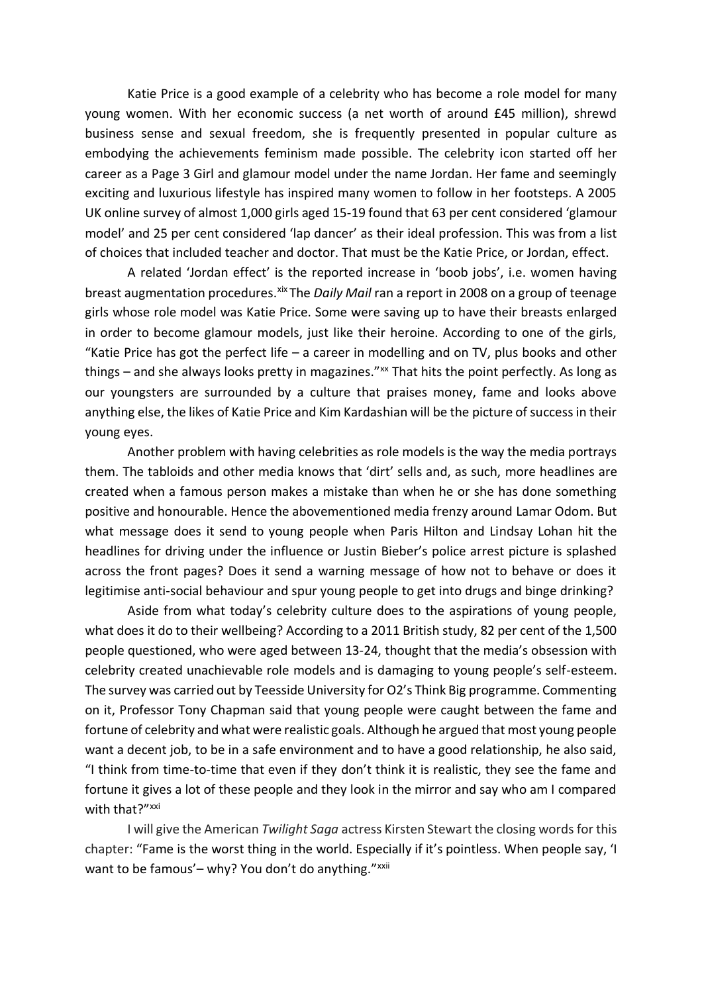Katie Price is a good example of a celebrity who has become a role model for many young women. With her economic success (a net worth of around £45 million), shrewd business sense and sexual freedom, she is frequently presented in popular culture as embodying the achievements feminism made possible. The celebrity icon started off her career as a Page 3 Girl and glamour model under the name Jordan. Her fame and seemingly exciting and luxurious lifestyle has inspired many women to follow in her footsteps. A 2005 UK online survey of almost 1,000 girls aged 15-19 found that 63 per cent considered 'glamour model' and 25 per cent considered 'lap dancer' as their ideal profession. This was from a list of choices that included teacher and doctor. That must be the Katie Price, or Jordan, effect.

A related 'Jordan effect' is the reported increase in 'boob jobs', i.e. women having breast augmentation procedures.<sup>xix</sup> The *Daily Mail* ran a report in 2008 on a group of teenage girls whose role model was Katie Price. Some were saving up to have their breasts enlarged in order to become glamour models, just like their heroine. According to one of the girls, "Katie Price has got the perfect life  $-$  a career in modelling and on TV, plus books and other things – and she always looks pretty in magazines."<sup>xx</sup> That hits the point perfectly. As long as our youngsters are surrounded by a culture that praises money, fame and looks above anything else, the likes of Katie Price and Kim Kardashian will be the picture of success in their young eyes.

Another problem with having celebrities as role models is the way the media portrays them. The tabloids and other media knows that 'dirt' sells and, as such, more headlines are created when a famous person makes a mistake than when he or she has done something positive and honourable. Hence the abovementioned media frenzy around Lamar Odom. But what message does it send to young people when Paris Hilton and Lindsay Lohan hit the headlines for driving under the influence or Justin Bieber's police arrest picture is splashed across the front pages? Does it send a warning message of how not to behave or does it legitimise anti-social behaviour and spur young people to get into drugs and binge drinking?

Aside from what today's celebrity culture does to the aspirations of young people, what does it do to their wellbeing? According to a 2011 British study, 82 per cent of the 1,500 people questioned, who were aged between 13-24, thought that the media's obsession with celebrity created unachievable role models and is damaging to young people's self-esteem. The survey was carried out by Teesside University for O2's Think Big programme. Commenting on it, Professor Tony Chapman said that young people were caught between the fame and fortune of celebrity and what were realistic goals. Although he argued that most young people want a decent job, to be in a safe environment and to have a good relationship, he also said, "I think from time-to-time that even if they don't think it is realistic, they see the fame and fortune it gives a lot of these people and they look in the mirror and say who am I compared with that?"<sup>xxi</sup>

I will give the American *Twilight Saga* actress Kirsten Stewart the closing words for this chapter: "Fame is the worst thing in the world. Especially if it's pointless. When people say, 'I want to be famous'- why? You don't do anything."<sup>xxii</sup>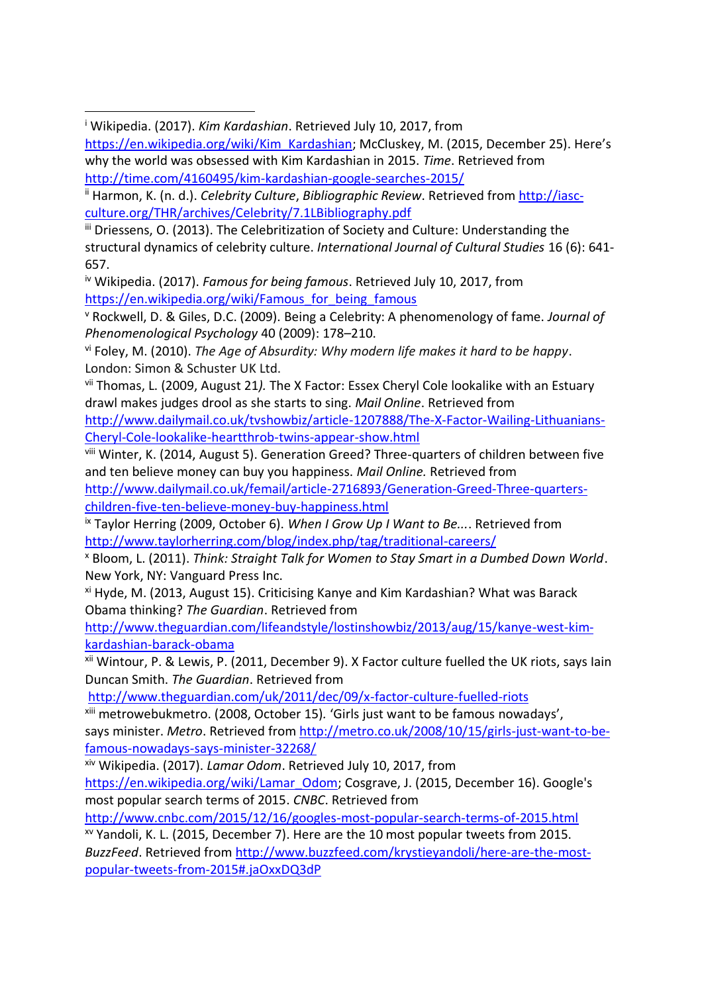$\overline{a}$ 

iii Driessens, O. (2013). The Celebritization of Society and Culture: Understanding the structural dynamics of celebrity culture. *International Journal of Cultural Studies* 16 (6): 641- 657.

iv Wikipedia. (2017). *Famous for being famous*. Retrieved July 10, 2017, from [https://en.wikipedia.org/wiki/Famous\\_for\\_being\\_famous](https://en.wikipedia.org/wiki/Famous_for_being_famous)

<sup>v</sup> Rockwell, D. & Giles, D.C. (2009). Being a Celebrity: A phenomenology of fame. *Journal of Phenomenological Psychology* 40 (2009): 178–210.

vii Thomas, L. (2009, August 21*).* The X Factor: Essex Cheryl Cole lookalike with an Estuary drawl makes judges drool as she starts to sing. *Mail Online*. Retrieved from [http://www.dailymail.co.uk/tvshowbiz/article-1207888/The-X-Factor-Wailing-Lithuanians-](http://www.dailymail.co.uk/tvshowbiz/article-1207888/The-X-Factor-Wailing-Lithuanians-Cheryl-Cole-lookalike-heartthrob-twins-appear-show.html)[Cheryl-Cole-lookalike-heartthrob-twins-appear-show.html](http://www.dailymail.co.uk/tvshowbiz/article-1207888/The-X-Factor-Wailing-Lithuanians-Cheryl-Cole-lookalike-heartthrob-twins-appear-show.html) 

viii Winter, K. (2014, August 5). Generation Greed? Three-quarters of children between five and ten believe money can buy you happiness. *Mail Online.* Retrieved from [http://www.dailymail.co.uk/femail/article-2716893/Generation-Greed-Three-quarters-](http://www.dailymail.co.uk/femail/article-2716893/Generation-Greed-Three-quarters-children-five-ten-believe-money-buy-happiness.html)

[children-five-ten-believe-money-buy-happiness.html](http://www.dailymail.co.uk/femail/article-2716893/Generation-Greed-Three-quarters-children-five-ten-believe-money-buy-happiness.html)

ix Taylor Herring (2009, October 6). *When I Grow Up I Want to Be...*. Retrieved from <http://www.taylorherring.com/blog/index.php/tag/traditional-careers/>

<sup>x</sup> Bloom, L. (2011). *Think: Straight Talk for Women to Stay Smart in a Dumbed Down World*. New York, NY: Vanguard Press Inc.

xi Hyde, M. (2013, August 15). Criticising Kanye and Kim Kardashian? What was Barack Obama thinking? *The Guardian*. Retrieved from

[http://www.theguardian.com/lifeandstyle/lostinshowbiz/2013/aug/15/kanye-west-kim](http://www.theguardian.com/lifeandstyle/lostinshowbiz/2013/aug/15/kanye-west-kim-kardashian-barack-obama)[kardashian-barack-obama](http://www.theguardian.com/lifeandstyle/lostinshowbiz/2013/aug/15/kanye-west-kim-kardashian-barack-obama)

xii Wintour, P. & Lewis, P. (2011, December 9). X Factor culture fuelled the UK riots, says Iain Duncan Smith. *The Guardian*. Retrieved from

<http://www.theguardian.com/uk/2011/dec/09/x-factor-culture-fuelled-riots>

xiii metrowebukmetro. (2008, October 15)*.* 'Girls just want to be famous nowadays', says minister. *Metro*. Retrieved from [http://metro.co.uk/2008/10/15/girls-just-want-to-be](http://metro.co.uk/2008/10/15/girls-just-want-to-be-famous-nowadays-says-minister-32268/)[famous-nowadays-says-minister-32268/](http://metro.co.uk/2008/10/15/girls-just-want-to-be-famous-nowadays-says-minister-32268/)

xiv Wikipedia. (2017). *Lamar Odom*. Retrieved July 10, 2017, from

[https://en.wikipedia.org/wiki/Lamar\\_Odom;](https://en.wikipedia.org/wiki/Lamar_Odom) Cosgrave, J. (2015, December 16). Google's most popular search terms of 2015. *CNBC*. Retrieved from

<http://www.cnbc.com/2015/12/16/googles-most-popular-search-terms-of-2015.html>

xv Yandoli, K. L. (2015, December 7). Here are the 10 most popular tweets from 2015. *BuzzFeed*. Retrieved from [http://www.buzzfeed.com/krystieyandoli/here-are-the-most](http://www.buzzfeed.com/krystieyandoli/here-are-the-most-popular-tweets-from-2015#.jaOxxDQ3dP)[popular-tweets-from-2015#.jaOxxDQ3dP](http://www.buzzfeed.com/krystieyandoli/here-are-the-most-popular-tweets-from-2015#.jaOxxDQ3dP)

<sup>i</sup> Wikipedia. (2017). *Kim Kardashian*. Retrieved July 10, 2017, from

[https://en.wikipedia.org/wiki/Kim\\_Kardashian](https://en.wikipedia.org/wiki/Kim_Kardashian); McCluskey, M. (2015, December 25). Here's why the world was obsessed with Kim Kardashian in 2015. *Time*. Retrieved from <http://time.com/4160495/kim-kardashian-google-searches-2015/>

ii Harmon, K. (n. d.). *Celebrity Culture*, *Bibliographic Review*. Retrieved from [http://iasc](http://iasc-culture.org/THR/archives/Celebrity/7.1LBibliography.pdf)[culture.org/THR/archives/Celebrity/7.1LBibliography.pdf](http://iasc-culture.org/THR/archives/Celebrity/7.1LBibliography.pdf)

vi Foley, M. (2010). *The Age of Absurdity: Why modern life makes it hard to be happy*. London: Simon & Schuster UK Ltd.